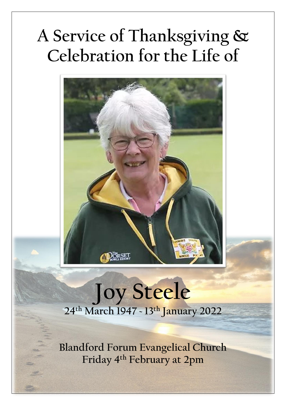## **A Service of Thanksgiving & Celebration for the Life of**



## **Joy Steele 24th March 1947 ~ 13th January 2022**

**Blandford Forum Evangelical Church Friday 4 th February at 2pm**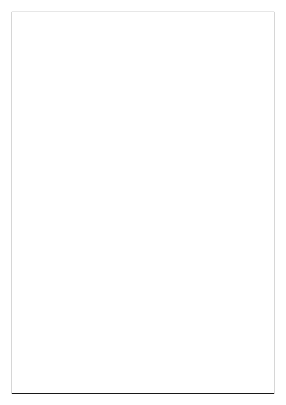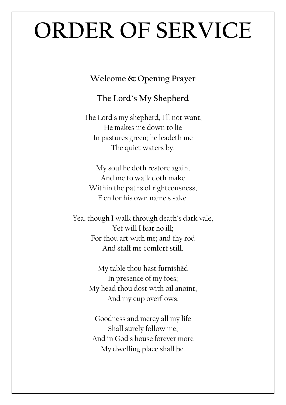# **ORDER OF SERVICE**

**Welcome & Opening Prayer**

**The Lord's My Shepherd**

The Lord's my shepherd, I'll not want; He makes me down to lie In pastures green; he leadeth me The quiet waters by.

My soul he doth restore again, And me to walk doth make Within the paths of righteousness, E'en for his own name's sake.

Yea, though I walk through death's dark vale, Yet will I fear no ill; For thou art with me; and thy rod And staff me comfort still.

> My table thou hast furnishèd In presence of my foes; My head thou dost with oil anoint, And my cup overflows.

Goodness and mercy all my life Shall surely follow me; And in God's house forever more My dwelling place shall be.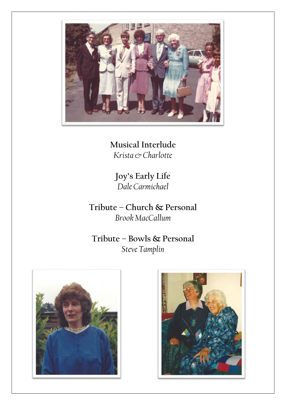

**Musical Interlude** *Krista & Charlotte*

**Joy's Early Life** *Dale Carmichael*

**Tribute – Church & Personal** *Brook MacCallum*

**Tribute – Bowls & Personal** *Steve Tamplin*



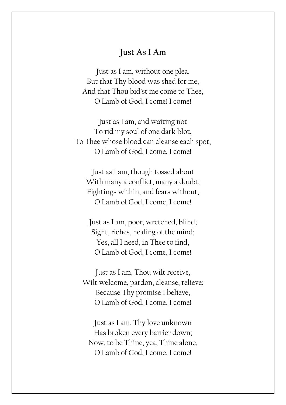### **Just As I Am**

Just as I am, without one plea, But that Thy blood was shed for me, And that Thou bid'st me come to Thee, O Lamb of God, I come! I come!

Just as I am, and waiting not To rid my soul of one dark blot, To Thee whose blood can cleanse each spot, O Lamb of God, I come, I come!

Just as I am, though tossed about With many a conflict, many a doubt; Fightings within, and fears without, O Lamb of God, I come, I come!

Just as I am, poor, wretched, blind; Sight, riches, healing of the mind; Yes, all I need, in Thee to find, O Lamb of God, I come, I come!

Just as I am, Thou wilt receive, Wilt welcome, pardon, cleanse, relieve; Because Thy promise I believe, O Lamb of God, I come, I come!

Just as I am, Thy love unknown Has broken every barrier down; Now, to be Thine, yea, Thine alone, O Lamb of God, I come, I come!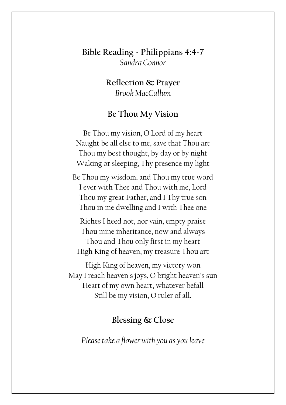#### **Bible Reading - Philippians 4:4-7** *Sandra Connor*

**Reflection & Prayer** *Brook MacCallum*

#### **Be Thou My Vision**

Be Thou my vision, O Lord of my heart Naught be all else to me, save that Thou art Thou my best thought, by day or by night Waking or sleeping, Thy presence my light

Be Thou my wisdom, and Thou my true word I ever with Thee and Thou with me, Lord Thou my great Father, and I Thy true son Thou in me dwelling and I with Thee one

Riches I heed not, nor vain, empty praise Thou mine inheritance, now and always Thou and Thou only first in my heart High King of heaven, my treasure Thou art

High King of heaven, my victory won May I reach heaven's joys, O bright heaven's sun Heart of my own heart, whatever befall Still be my vision, O ruler of all.

#### **Blessing & Close**

*Please take a flower with you as you leave*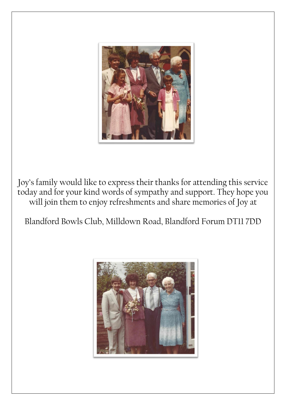

Joy's family would like to express their thanks for attending this service today and for your kind words of sympathy and support. They hope you will join them to enjoy refreshments and share memories of Joy at

Blandford Bowls Club, Milldown Road, Blandford Forum DT11 7DD